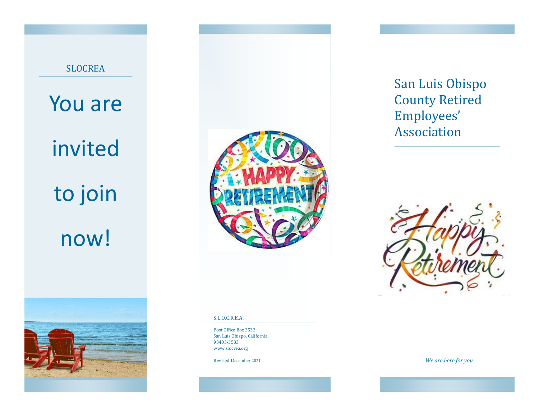





## S.L.O.C.R.E.A.

Post Office Box 3533 San Luis Obispo, California 93403-3533 www.slocrea.org

—————————————————————-

Revised December 2021

# San Luis Obispo County Retired Employees' Association



*We are here for you.*